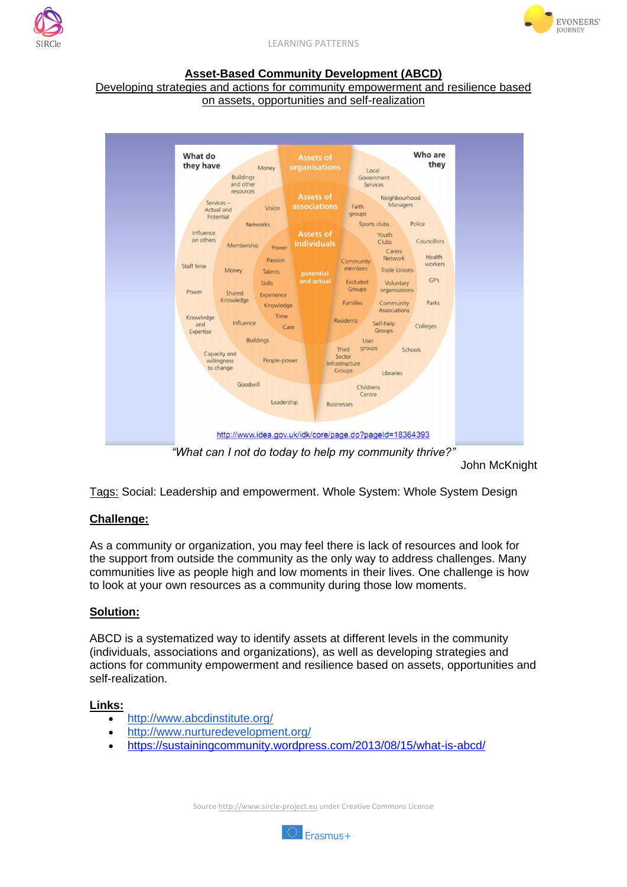



LEARNING PATTERNS

### **Asset-Based Community Development (ABCD)**

#### Developing strategies and actions for community empowerment and resilience based on assets, opportunities and self-realization



John McKnight

Tags: Social: Leadership and empowerment. Whole System: Whole System Design

# **Challenge:**

As a community or organization, you may feel there is lack of resources and look for the support from outside the community as the only way to address challenges. Many communities live as people high and low moments in their lives. One challenge is how to look at your own resources as a community during those low moments.

# **Solution:**

ABCD is a systematized way to identify assets at different levels in the community (individuals, associations and organizations), as well as developing strategies and actions for community empowerment and resilience based on assets, opportunities and self-realization.

#### **Links:**

- <http://www.abcdinstitute.org/>
- <http://www.nurturedevelopment.org/>
- <https://sustainingcommunity.wordpress.com/2013/08/15/what-is-abcd/>

Source http://www.sircle-project.eu under Creative Commons License